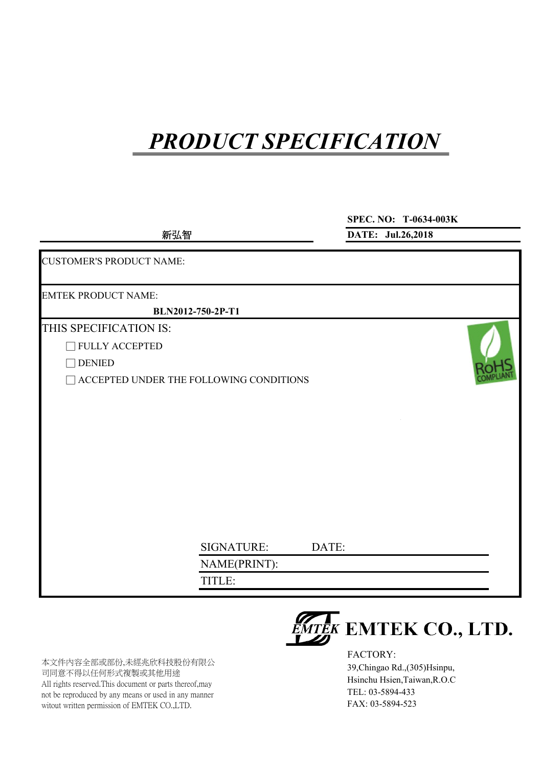**新弘智**

**SPEC. NO: T-0634-003K**

**DATE: Jul.26,2018**

CUSTOMER'S PRODUCT NAME: EMTEK PRODUCT NAME: THIS SPECIFICATION IS: □ FULLY ACCEPTED □ DENIED □ ACCEPTED UNDER THE FOLLOWING CONDITIONS SIGNATURE: DATE: NAME(PRINT): TITLE: **BLN2012-750-2P-T1**

本文件內容全部或部份,未經兆欣科技股份有限公 司同意不得以任何形式複製或其他用途 All rights reserved.This document or parts thereof,may not be reproduced by any means or used in any manner witout written permission of EMTEK CO.,LTD.

**WIEK EMTEK CO., LTD.** 

FACTORY: 39,Chingao Rd.,(305)Hsinpu, Hsinchu Hsien,Taiwan,R.O.C TEL: 03-5894-433 FAX: 03-5894-523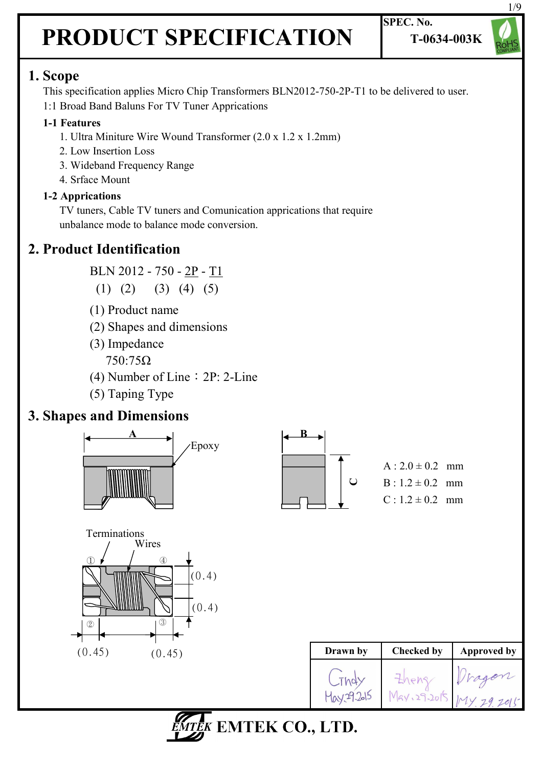

### **1. Scope**

 This specification applies Micro Chip Transformers BLN2012-750-2P-T1 to be delivered to user. 1:1 Broad Band Baluns For TV Tuner Apprications

### **1-1 Features**

- 1. Ultra Miniture Wire Wound Transformer (2.0 x 1.2 x 1.2mm)
- 2. Low Insertion Loss
- 3. Wideband Frequency Range
- 4. Srface Mount

### **1-2 Apprications**

 TV tuners, Cable TV tuners and Comunication apprications that require unbalance mode to balance mode conversion.

### **2. Product Identification**

BLN 2012 - 750 - 2P - T1

- $(1)$   $(2)$   $(3)$   $(4)$   $(5)$
- (1) Product name
- (2) Shapes and dimensions
- (3) Impedance 750:75Ω
- (4) Number of Line: 2P: 2-Line
- (5) Taping Type

### **3. Shapes and Dimensions**





 $A: 2.0 \pm 0.2$  mm  $B \cdot 1.2 \pm 0.2$  mm  $C: 1.2 \pm 0.2$  mm



| Drawn by | <b>Checked by</b> | <b>Approved by</b> |
|----------|-------------------|--------------------|
|          | May, 29.2015      |                    |

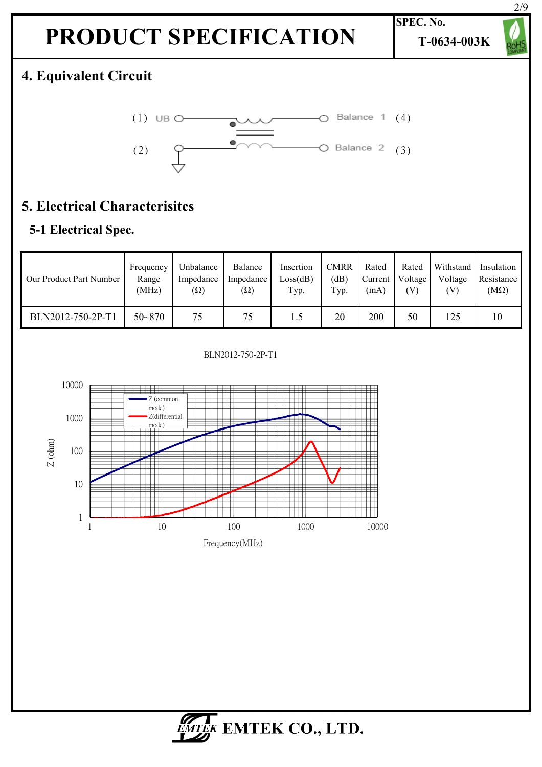**T-0634-003K**

**SPEC. No.**

# 2/9

### **4. Equivalent Circuit**



### **5. Electrical Characterisitcs**

### **5-1 Electrical Spec.**

| Our Product Part Number | Frequency  | Unbalance  | Balance    | Insertion | <b>CMRR</b> | Rated   | Rated   | Withstand | Insulation  |
|-------------------------|------------|------------|------------|-----------|-------------|---------|---------|-----------|-------------|
|                         | Range      | Impedance  | Impedance  | Loss(dB)  | (dB)        | Current | Voltage | Voltage   | Resistance  |
|                         | (MHz)      | $(\Omega)$ | $(\Omega)$ | Typ.      | Typ.        | (mA)    | (V)     | [V]       | $(M\Omega)$ |
| BLN2012-750-2P-T1       | $50 - 870$ | 75         | 75         | 1.5       | 20          | 200     | 50      | 125       | 10          |



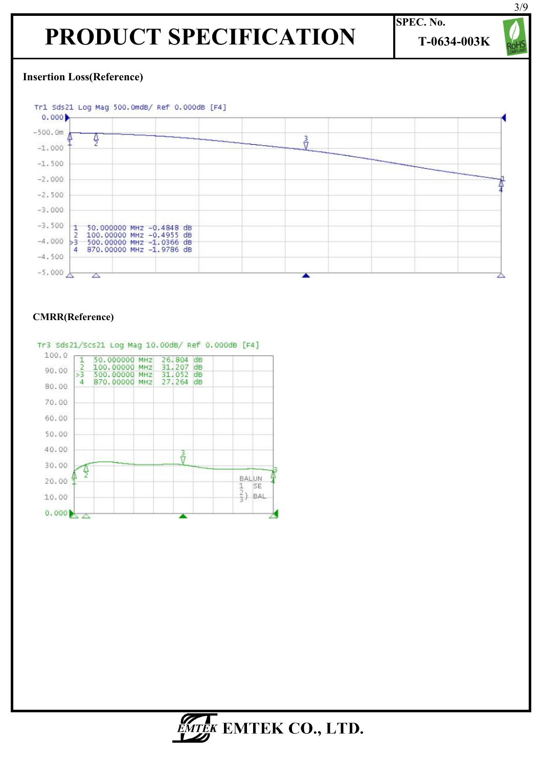**SPEC. No. T-0634-003K** 3/9

#### **Insertion Loss(Reference)**



#### **CMRR(Reference)**



#### Tr3 Sds21/Scs21 Log Mag 10.00dB/ Ref 0.000dB [F4]

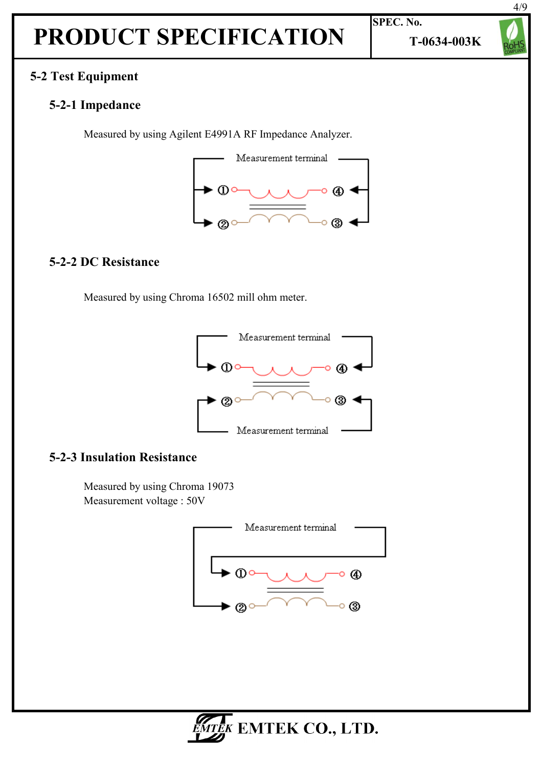#### **5-2 Test Equipment**

#### **5-2-1 Impedance**

Measured by using Agilent E4991A RF Impedance Analyzer.



#### **5-2-2 DC Resistance**

Measured by using Chroma 16502 mill ohm meter.



#### **5-2-3 Insulation Resistance**

 Measured by using Chroma 19073 Measurement voltage : 50V





**T-0634-003K**

**SPEC. No.**

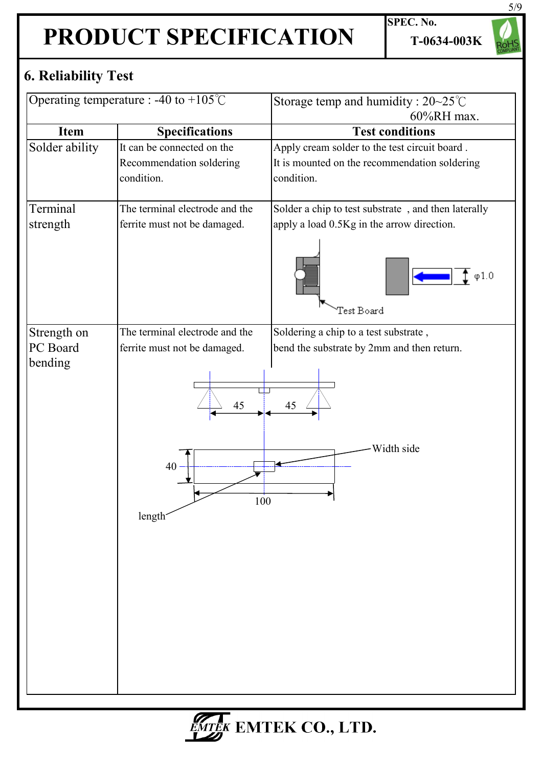**SPEC. No. T-0634-003K**

### **6. Reliability Test**

| Operating temperature : -40 to +105 $\degree$ C |                                                                                                          | Storage temp and humidity : $20-25^{\circ}$ C<br>60%RH max.                                                                   |  |  |  |  |
|-------------------------------------------------|----------------------------------------------------------------------------------------------------------|-------------------------------------------------------------------------------------------------------------------------------|--|--|--|--|
| Item                                            | <b>Specifications</b>                                                                                    | <b>Test conditions</b>                                                                                                        |  |  |  |  |
| Solder ability                                  | It can be connected on the<br>Recommendation soldering<br>condition.                                     | Apply cream solder to the test circuit board.<br>It is mounted on the recommendation soldering<br>condition.                  |  |  |  |  |
| Terminal<br>strength                            | The terminal electrode and the<br>ferrite must not be damaged.                                           | Solder a chip to test substrate, and then laterally<br>apply a load 0.5Kg in the arrow direction.<br>$\phi$ 1.0<br>Test Board |  |  |  |  |
| Strength on<br>PC Board<br>bending              | The terminal electrode and the<br>ferrite must not be damaged.<br>45<br>40<br>100<br>length <sup>-</sup> | Soldering a chip to a test substrate,<br>bend the substrate by 2mm and then return.<br>45<br>Width side                       |  |  |  |  |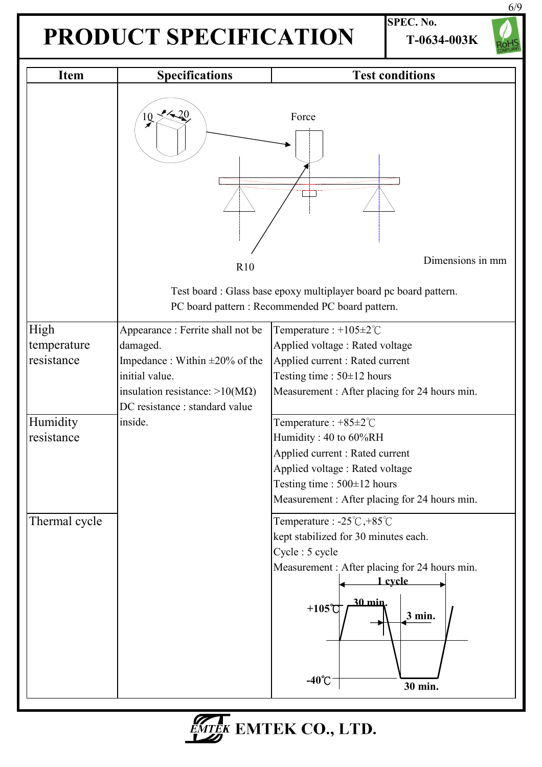**SPEC. No. T-0634-003K**



| <b>Item</b>                       | <b>Specifications</b>                                                                                                                                                             | <b>Test conditions</b>                                                                                                                                                                                                                 |
|-----------------------------------|-----------------------------------------------------------------------------------------------------------------------------------------------------------------------------------|----------------------------------------------------------------------------------------------------------------------------------------------------------------------------------------------------------------------------------------|
|                                   | 20<br>$\overline{0}$<br>R10                                                                                                                                                       | Force<br>Dimensions in mm<br>Test board: Glass base epoxy multiplayer board pc board pattern.                                                                                                                                          |
|                                   |                                                                                                                                                                                   | PC board pattern : Recommended PC board pattern.                                                                                                                                                                                       |
| High<br>temperature<br>resistance | Appearance : Ferrite shall not be<br>damaged.<br>Impedance: Within $\pm 20\%$ of the<br>initial value.<br>insulation resistance: $>10(M\Omega)$<br>DC resistance : standard value | Temperature : $+105 \pm 2^{\circ}$ C<br>Applied voltage : Rated voltage<br>Applied current : Rated current<br>Testing time : $50\pm12$ hours<br>Measurement: After placing for 24 hours min.                                           |
| Humidity<br>resistance            | inside.                                                                                                                                                                           | Temperature : $+85\pm2^{\circ}$ C<br>Humidity: 40 to 60%RH<br>Applied current : Rated current<br>Applied voltage : Rated voltage<br>Testing time : $500 \pm 12$ hours<br>Measurement: After placing for 24 hours min.                  |
| Thermal cycle                     |                                                                                                                                                                                   | Temperature : $-25^{\circ}C, +85^{\circ}C$<br>kept stabilized for 30 minutes each.<br>Cycle: 5 cycle<br>Measurement: After placing for 24 hours min.<br>1 cycle<br>30 min.<br>$+105^\circ$ C<br>$3$ min.<br>$-40^{\circ}$ C<br>30 min. |

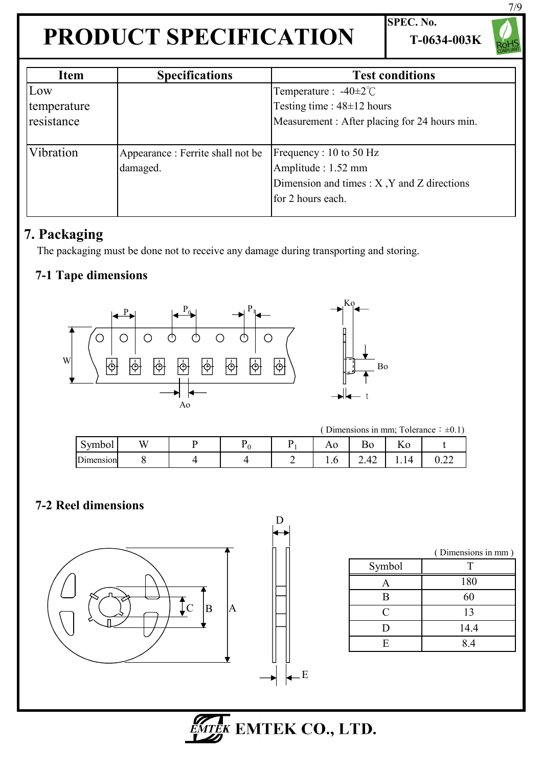**SPEC. No. T-0634-003K**

7/9

| Item        | <b>Specifications</b>             | <b>Test conditions</b>                          |
|-------------|-----------------------------------|-------------------------------------------------|
| Low         |                                   | Temperature : $-40\pm2^{\circ}$ C               |
| temperature |                                   | Testing time : $48\pm12$ hours                  |
| resistance  |                                   | Measurement: After placing for 24 hours min.    |
|             |                                   |                                                 |
| Vibration   | Appearance : Ferrite shall not be | Frequency : 10 to 50 $Hz$                       |
|             | damaged.                          | Amplitude : 1.52 mm                             |
|             |                                   | Dimension and times $: X, Y$ and $Z$ directions |
|             |                                   | for 2 hours each.                               |
|             |                                   |                                                 |

### **7. Packaging**

The packaging must be done not to receive any damage during transporting and storing.

### **7-1 Tape dimensions**



( Dimensions in mm; Tolerance:  $\pm 0.1$ )

Bo

| $\sim$<br>ymbol<br>ັ | w |  | <b>AV</b>                     | ∽<br><sub>B0</sub> | 11 V   |                  |
|----------------------|---|--|-------------------------------|--------------------|--------|------------------|
| Dimension            |   |  | $\mathbf{1} \cdot \mathbf{0}$ | . .<br>∸<br>∠.⊤∠   | ∸<br>. | $\Omega$<br>∪.∠∠ |

#### **7-2 Reel dimensions**



|        | (Dimensions in mm) |
|--------|--------------------|
| Symbol |                    |
| Α      | 180                |
| B      | 60                 |
| C      | 13                 |
| D      | 14.4               |
| F.     | 84                 |



E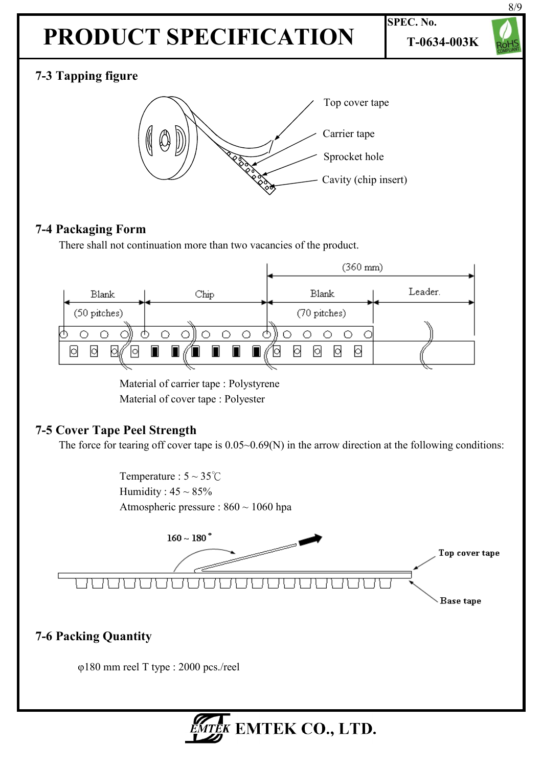# **PRODUCT SPECIFICATION F-0634-003K**

**SPEC. No.**



### **7-3 Tapping figure**



### **7-4 Packaging Form**

There shall not continuation more than two vacancies of the product.



Material of carrier tape : Polystyrene Material of cover tape : Polyester

### **7-5 Cover Tape Peel Strength**

The force for tearing off cover tape is  $0.05~0.69(N)$  in the arrow direction at the following conditions:

Temperature :  $5 \sim 35^{\circ}$ C Humidity :  $45 \sim 85\%$ Atmospheric pressure : 860 ~ 1060 hpa